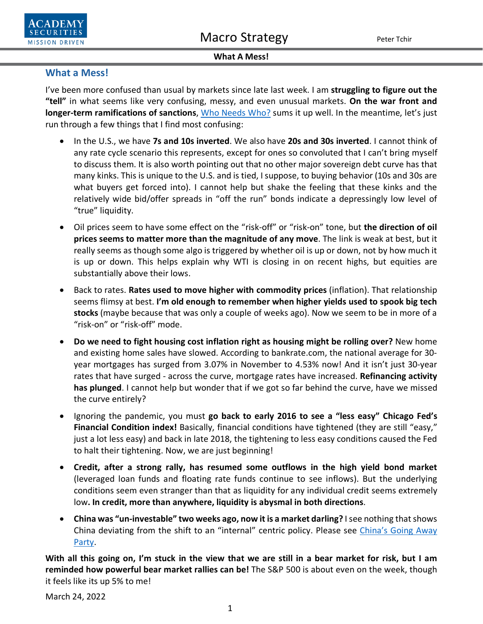



### **What A Mess!**

# **What a Mess!**

I've been more confused than usual by markets since late last week. I am **struggling to figure out the "tell"** in what seems like very confusing, messy, and even unusual markets. **On the war front and longer-term ramifications of sanctions**, [Who Needs Who?](https://www.academysecurities.com/wordpress/wp-content/uploads/2022/03/Who-Needs-Who.pdf) sums it up well. In the meantime, let's just run through a few things that I find most confusing:

- In the U.S., we have **7s and 10s inverted**. We also have **20s and 30s inverted**. I cannot think of any rate cycle scenario this represents, except for ones so convoluted that I can't bring myself to discuss them. It is also worth pointing out that no other major sovereign debt curve has that many kinks. This is unique to the U.S. and is tied, I suppose, to buying behavior (10s and 30s are what buyers get forced into). I cannot help but shake the feeling that these kinks and the relatively wide bid/offer spreads in "off the run" bonds indicate a depressingly low level of "true" liquidity.
- Oil prices seem to have some effect on the "risk-off" or "risk-on" tone, but **the direction of oil prices seems to matter more than the magnitude of any move**. The link is weak at best, but it really seems as though some algo is triggered by whether oil is up or down, not by how much it is up or down. This helps explain why WTI is closing in on recent highs, but equities are substantially above their lows.
- Back to rates. **Rates used to move higher with commodity prices** (inflation). That relationship seems flimsy at best. **I'm old enough to remember when higher yields used to spook big tech stocks** (maybe because that was only a couple of weeks ago). Now we seem to be in more of a "risk-on" or "risk-off" mode.
- **Do we need to fight housing cost inflation right as housing might be rolling over?** New home and existing home sales have slowed. According to bankrate.com, the national average for 30 year mortgages has surged from 3.07% in November to 4.53% now! And it isn't just 30-year rates that have surged - across the curve, mortgage rates have increased. **Refinancing activity has plunged**. I cannot help but wonder that if we got so far behind the curve, have we missed the curve entirely?
- Ignoring the pandemic, you must **go back to early 2016 to see a "less easy" Chicago Fed's Financial Condition index!** Basically, financial conditions have tightened (they are still "easy," just a lot less easy) and back in late 2018, the tightening to less easy conditions caused the Fed to halt their tightening. Now, we are just beginning!
- **Credit, after a strong rally, has resumed some outflows in the high yield bond market** (leveraged loan funds and floating rate funds continue to see inflows). But the underlying conditions seem even stranger than that as liquidity for any individual credit seems extremely low**. In credit, more than anywhere, liquidity is abysmal in both directions**.
- **China was "un-investable" two weeks ago, now it is a market darling?** I see nothing that shows China deviating from the shift to an "internal" centric policy. Please see [China's Going Away](https://www.academysecurities.com/wordpress/wp-content/uploads/2022/02/The-Beijing-Olympics-as-Cultural-Bookends.pdf)  [Party.](https://www.academysecurities.com/wordpress/wp-content/uploads/2022/02/The-Beijing-Olympics-as-Cultural-Bookends.pdf)

**With all this going on, I'm stuck in the view that we are still in a bear market for risk, but I am reminded how powerful bear market rallies can be!** The S&P 500 is about even on the week, though it feels like its up 5% to me!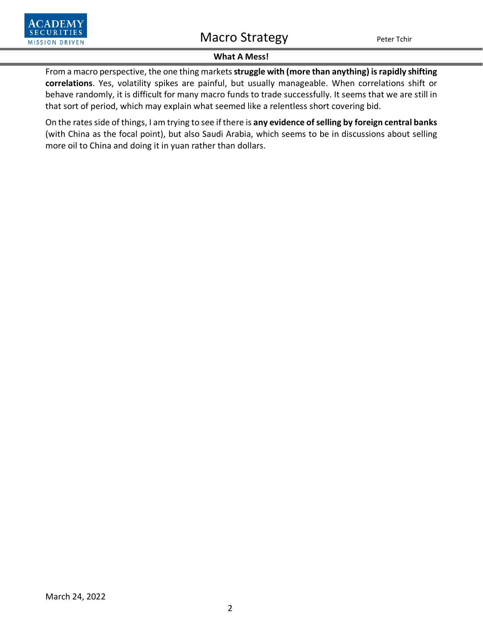



## **What A Mess!**

From a macro perspective, the one thing markets**struggle with (more than anything) is rapidly shifting correlations**. Yes, volatility spikes are painful, but usually manageable. When correlations shift or behave randomly, it is difficult for many macro funds to trade successfully. It seems that we are still in that sort of period, which may explain what seemed like a relentless short covering bid.

On the rates side of things, I am trying to see if there is **any evidence of selling by foreign central banks** (with China as the focal point), but also Saudi Arabia, which seems to be in discussions about selling more oil to China and doing it in yuan rather than dollars.